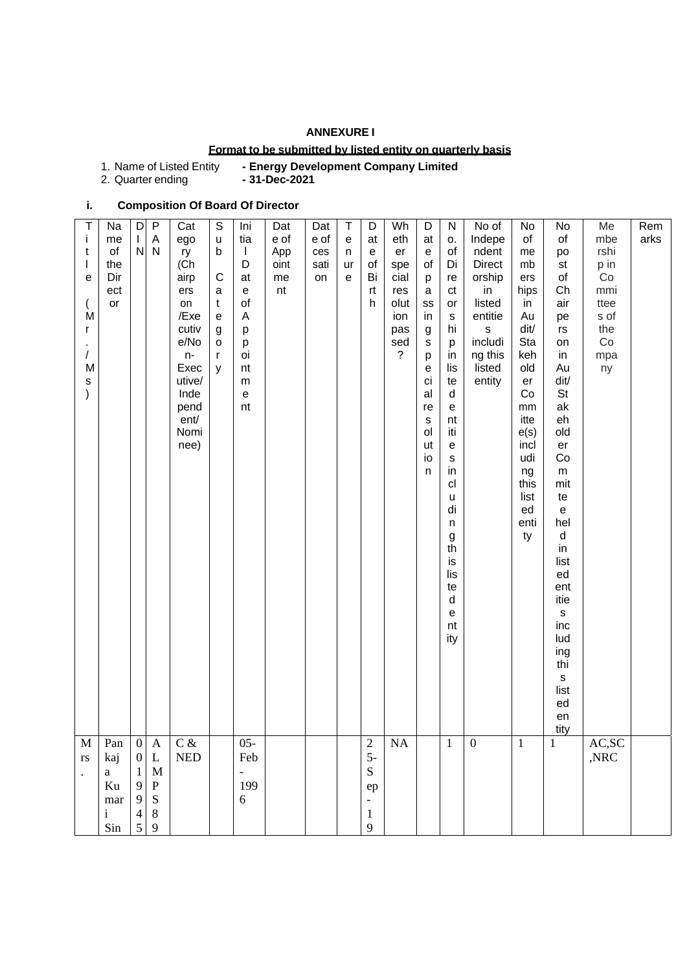## **ANNEXURE I**

### **Format to be submitted by listed entity on quarterly basis**

| 1. Name of Listed Entity | - Energy Development Company Limited |
|--------------------------|--------------------------------------|
|--------------------------|--------------------------------------|

2. Quarter ending **- 31-Dec-2021**

# **i. Composition Of Board Of Director**

| M<br>rs<br>$\bullet$                                                              | T<br>j.<br>t<br>$\mathbf{I}$<br>e<br>M<br>r<br>$\sqrt{2}$<br>M<br>s<br>$\mathcal{E}$                                                                                                                                                                                                                                          |
|-----------------------------------------------------------------------------------|-------------------------------------------------------------------------------------------------------------------------------------------------------------------------------------------------------------------------------------------------------------------------------------------------------------------------------|
| Pan<br>kaj<br>$\mathbf{a}$<br>Ku<br>mar<br>$\mathbf{i}$<br>Sin                    | Na<br>me<br>of<br>the<br>Dir<br>ect<br>or                                                                                                                                                                                                                                                                                     |
| $\mathbf{0}$<br>$\boldsymbol{0}$<br>$\mathbf{1}$<br>9<br>9<br>$\overline{4}$<br>5 | D<br>L<br>N                                                                                                                                                                                                                                                                                                                   |
| A<br>L<br>$\mathbf M$<br>${\bf P}$<br>${\bf S}$<br>$8\,$<br>$\mathbf{9}$          | P<br>А<br>$\mathsf{N}$                                                                                                                                                                                                                                                                                                        |
| $C\,\&$<br>$\ensuremath{\mathsf{NED}}$                                            | Cat<br>ego<br>ry<br>(Ch<br>airp<br>ers<br>on<br>/Exe<br>cutiv<br>e/No<br>$n-$<br>Exec<br>utive/<br>Inde<br>pend<br>ent/<br>Nomi<br>nee)                                                                                                                                                                                       |
|                                                                                   | S<br>u<br>b<br>C<br>$\mathsf a$<br>t<br>$\mathsf{e}% _{t}\left( t\right)$<br>g<br>o<br>r<br>y                                                                                                                                                                                                                                 |
| $05 -$<br>Feb<br>$\overline{\phantom{0}}$<br>199<br>6                             | Ini<br>tia<br>$\mathbf{I}$<br>D<br>at<br>${\bf e}$<br>of<br>Α<br>p<br>p<br>oi<br>nt<br>${\sf m}$<br>$\mathsf{e}% _{t}\left( t\right)$<br>nt                                                                                                                                                                                   |
|                                                                                   | Dat<br>e of<br>App<br>oint<br>me<br>nt                                                                                                                                                                                                                                                                                        |
|                                                                                   | Dat<br>e of<br>ces<br>sati<br>on                                                                                                                                                                                                                                                                                              |
|                                                                                   | Τ<br>$\mathbf{e}% _{t}\left( \mathbf{1}_{t}\right)$<br>n<br>ur<br>$\mathbf e$                                                                                                                                                                                                                                                 |
| $\sqrt{2}$<br>$5-$<br>${\bf S}$<br>ep<br>$\mathbf{1}$<br>9                        | D<br>at<br>$\mathbf{e}% _{t}\left( \mathbf{1}_{t}\right)$<br>of<br>Bi<br>rt<br>h                                                                                                                                                                                                                                              |
| NA                                                                                | Wh<br>eth<br>er<br>spe<br>cial<br>res<br>olut<br>ion<br>pas<br>sed<br>?                                                                                                                                                                                                                                                       |
|                                                                                   | D<br>at<br>$\mathsf{e}% _{0}\left( \mathsf{e}\right)$<br>of<br>p<br>$\mathsf a$<br>SS<br>in<br>$\boldsymbol{g}$<br>s<br>p<br>е<br>ci<br>al<br>re<br>$\mathbb S$<br>ol<br>ut<br>io<br>$\sf n$                                                                                                                                  |
| $\mathbf{1}$                                                                      | N<br>о.<br>of<br>Di<br>re<br>ct<br>or<br>${\tt S}$<br>hi<br>p<br>in<br>lis<br>te<br>d<br>$\mathbf e$<br>nt<br>iti<br>e<br>$\mathbb S$<br>in<br>cl<br>u<br>di<br>n<br>$\boldsymbol{g}$<br>th<br>is<br>lis<br>te<br>d<br>е<br>nt<br>ity                                                                                         |
| $\boldsymbol{0}$                                                                  | No of<br>Indepe<br>ndent<br><b>Direct</b><br>orship<br>in<br>listed<br>entitie<br>s<br>includi<br>ng this<br>listed<br>entity                                                                                                                                                                                                 |
| $\mathbf{1}$                                                                      | No<br>of<br>me<br>mb<br>ers<br>hips<br>in<br>Au<br>dit/<br>Sta<br>keh<br>old<br>er<br>Co<br>mm<br>itte<br>e(s)<br>incl<br>udi<br>ng<br>this<br>list<br>ed<br>enti<br>ty                                                                                                                                                       |
| $\mathbf{1}$                                                                      | No<br>of<br>po<br>st<br>of<br>Ch<br>air<br>pe<br>$\mathsf{rs}$<br>on<br>in<br>Au<br>dit/<br><b>St</b><br>ak<br>eh<br>old<br>er<br>Co<br>${\sf m}$<br>mit<br>te<br>$\mathbf{e}$<br>hel<br>${\sf d}$<br>in<br>list<br>ed<br>ent<br>itie<br>$\mathsf{s}$<br>inc<br>lud<br>ing<br>thi<br>$\mathsf{s}$<br>list<br>ed<br>en<br>tity |
| AC,SC<br>,NRC                                                                     | Me<br>mbe<br>rshi<br>p in<br>Co<br>mmi<br>ttee<br>s of<br>the<br>Co<br>mpa<br>ny                                                                                                                                                                                                                                              |
|                                                                                   | Rem<br>arks                                                                                                                                                                                                                                                                                                                   |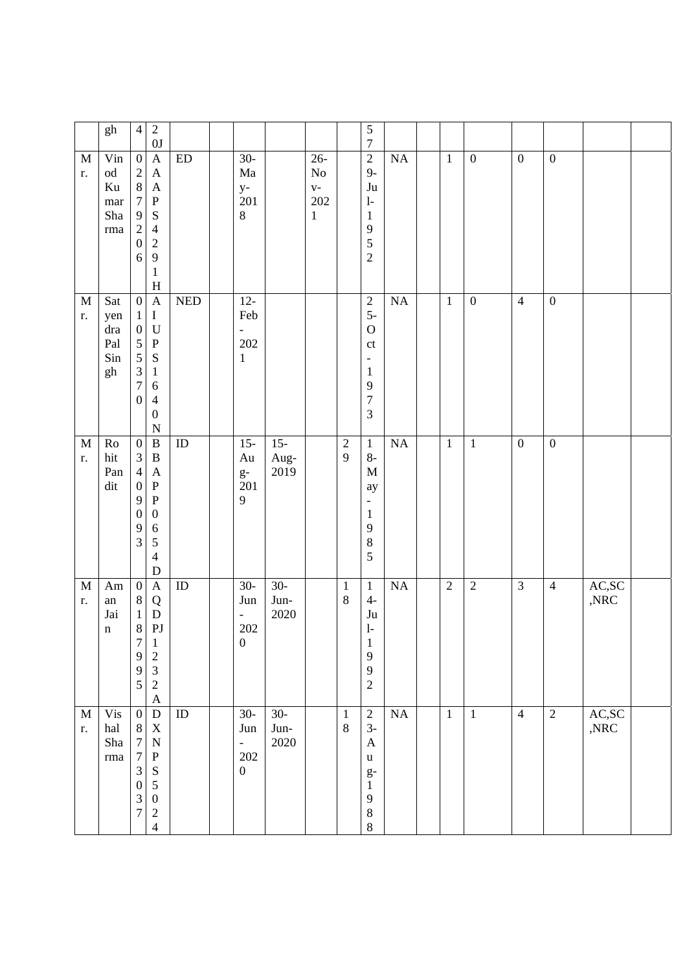|                   | $\mathbf{gh}$                                                      | $\overline{4}$                                                                                                                                   | $\sqrt{2}$<br>0J                                                                                                                              |                             |                                                                     |                        |                                                   |                         | $\sqrt{5}$<br>$\boldsymbol{7}$                                                                                                                    |                 |                  |                  |                  |                  |                                               |  |
|-------------------|--------------------------------------------------------------------|--------------------------------------------------------------------------------------------------------------------------------------------------|-----------------------------------------------------------------------------------------------------------------------------------------------|-----------------------------|---------------------------------------------------------------------|------------------------|---------------------------------------------------|-------------------------|---------------------------------------------------------------------------------------------------------------------------------------------------|-----------------|------------------|------------------|------------------|------------------|-----------------------------------------------|--|
| M<br>r.           | Vin<br>$\rm od$<br>Ku<br>$\operatorname{mar}$<br>Sha<br>$\rm{rma}$ | $\boldsymbol{0}$<br>$\sqrt{2}$<br>$8\,$<br>$\boldsymbol{7}$<br>$\overline{9}$<br>$\sqrt{2}$<br>$\boldsymbol{0}$<br>6                             | $\mathbf{A}$<br>$\mathbf{A}$<br>$\mathbf{A}$<br>${\bf P}$<br>S<br>$\overline{4}$<br>$\sqrt{2}$<br>9<br>$\,1$<br>H                             | $\mathop{\rm ED}\nolimits$  | $30-$<br>Ma<br>$y-$<br>201<br>$8\,$                                 |                        | $26 -$<br>$\rm No$<br>$V -$<br>202<br>$\mathbf 1$ |                         | $\overline{2}$<br>$9-$<br>$\mathrm{J}\mathrm{u}$<br>$\mathbf{l}$<br>$\mathbf{1}$<br>9<br>5<br>$\overline{2}$                                      | <b>NA</b>       | $\mathbf{1}$     | $\boldsymbol{0}$ | $\boldsymbol{0}$ | $\boldsymbol{0}$ |                                               |  |
| M<br>r.           | Sat<br>yen<br>dra<br>Pal<br>Sin<br>gh                              | $\boldsymbol{0}$<br>$\mathbf{1}$<br>$\boldsymbol{0}$<br>$\mathfrak{S}$<br>$\mathfrak{S}$<br>$\mathfrak{Z}$<br>$\overline{7}$<br>$\boldsymbol{0}$ | $\mathbf{A}$<br>$\bf I$<br>$\mathbf U$<br>$\, {\bf P}$<br>${\bf S}$<br>$\mathbf{1}$<br>6<br>$\overline{4}$<br>$\boldsymbol{0}$<br>$\mathbf N$ | $\ensuremath{\mathsf{NED}}$ | $12 -$<br>Feb<br>$\overline{\phantom{a}}$<br>202<br>$\,1$           |                        |                                                   |                         | $\overline{c}$<br>$5-$<br>$\mathbf O$<br>$\mathop{\rm ct}\nolimits$<br>$\qquad \qquad -$<br>$\mathbf{1}$<br>9<br>$\overline{7}$<br>$\mathfrak{Z}$ | <b>NA</b>       | $\mathbf{1}$     | $\boldsymbol{0}$ | $\overline{4}$   | $\boldsymbol{0}$ |                                               |  |
| $\mathbf M$<br>r. | Ro<br>hit<br>Pan<br>dit                                            | $\boldsymbol{0}$<br>$\mathfrak{Z}$<br>$\overline{4}$<br>$\boldsymbol{0}$<br>$\overline{9}$<br>$\boldsymbol{0}$<br>9<br>3                         | $\, {\bf B}$<br>$\, {\bf B}$<br>$\mathbf{A}$<br>$\, {\bf P}$<br>${\bf P}$<br>$\boldsymbol{0}$<br>6<br>5<br>$\overline{4}$<br>$\mathbf D$      | $\rm ID$                    | $15 -$<br>Au<br>$g-$<br>201<br>9                                    | $15 -$<br>Aug-<br>2019 |                                                   | $\sqrt{2}$<br>9         | $\mathbf{1}$<br>$8-$<br>$\mathbf M$<br>ay<br>$\qquad \qquad -$<br>$\mathbf{1}$<br>9<br>$\,8$<br>5                                                 | <b>NA</b>       | $\mathbf{1}$     | $\mathbf{1}$     | $\boldsymbol{0}$ | $\boldsymbol{0}$ |                                               |  |
| $\mathbf M$<br>r. | $\rm{Am}$<br>${\rm an}$<br>Jai<br>$\mathbf n$                      | $\boldsymbol{0}$<br>$8\,$<br>$\mathbf{1}$<br>$8\,$<br>7<br>9<br>9<br>5                                                                           | $\mathbf{A}$<br>Q<br>$\mathbf D$<br>PJ<br>1<br>$\overline{\mathbf{c}}$<br>$\overline{\mathbf{3}}$<br>$\overline{c}$<br>$\mathbf{A}$           | ID                          | $30-$<br>Jun<br>$\qquad \qquad -$<br>$202\,$<br>$\boldsymbol{0}$    | $30-$<br>Jun-<br>2020  |                                                   | $\mathbf{1}$<br>$\,8\,$ | $\mathbf{1}$<br>$4-$<br>$\mathrm{J}\mathrm{u}$<br>$\mathbf{l}$<br>1<br>9<br>9<br>$\sqrt{2}$                                                       | $\overline{NA}$ | $\boldsymbol{2}$ | $\sqrt{2}$       | $\overline{3}$   | $\overline{4}$   | $\mathsf{AC},\!\mathsf{SC}$<br>$,\!{\rm NRC}$ |  |
| M<br>r.           | <b>Vis</b><br>hal<br>Sha<br>$\rm{rma}$                             | $\boldsymbol{0}$<br>$8\,$<br>$\boldsymbol{7}$<br>$\boldsymbol{7}$<br>3<br>$\boldsymbol{0}$<br>$\ensuremath{\mathfrak{Z}}$<br>$\overline{7}$      | ${\bf D}$<br>$\mathbf X$<br>$\mathbf N$<br>${\bf P}$<br>S<br>5<br>$\boldsymbol{0}$<br>$\overline{c}$<br>$\overline{\mathcal{L}}$              | ID                          | $30-$<br>Jun<br>$\overline{\phantom{a}}$<br>202<br>$\boldsymbol{0}$ | $30-$<br>Jun-<br>2020  |                                                   | $\mathbf{1}$<br>$8\,$   | $\sqrt{2}$<br>$3-$<br>$\mathbf{A}$<br>$\mathbf u$<br>$g-$<br>$\mathbf{1}$<br>9<br>$\,$ $\,$<br>$\,8\,$                                            | NA              | $\mathbf{1}$     | $\mathbf{1}$     | $\overline{4}$   | $\sqrt{2}$       | AC,SC<br>$,\!{\rm NRC}$                       |  |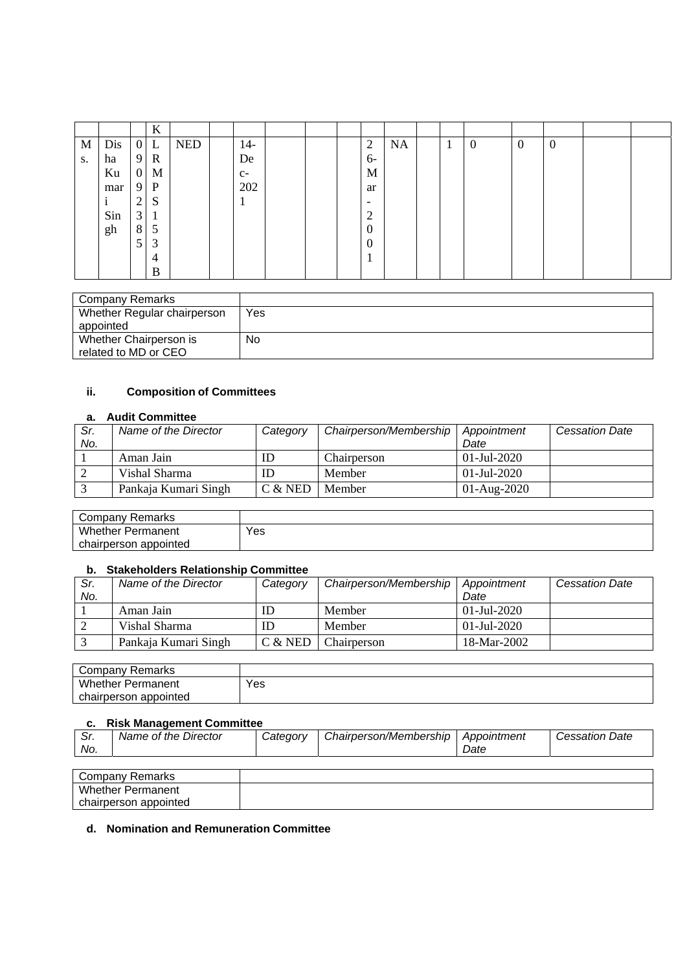|    |     |                  | $\bf K$      |            |       |  |                          |           |              |                  |                |                |  |
|----|-----|------------------|--------------|------------|-------|--|--------------------------|-----------|--------------|------------------|----------------|----------------|--|
| M  | Dis |                  | $0$ L        | <b>NED</b> | $14-$ |  | $\overline{2}$           | <b>NA</b> | $\mathbf{I}$ | $\boldsymbol{0}$ | $\overline{0}$ | $\overline{0}$ |  |
| S. | ha  | 9                | $\mathbb{R}$ |            | De    |  | 6-                       |           |              |                  |                |                |  |
|    | Ku  | $\boldsymbol{0}$ | M            |            | $C-$  |  | M                        |           |              |                  |                |                |  |
|    | mar | 9                | P            |            | 202   |  | ar                       |           |              |                  |                |                |  |
|    |     | 2                | S            |            |       |  | $\overline{\phantom{0}}$ |           |              |                  |                |                |  |
|    | Sin | 3                | 1            |            |       |  | ◠<br>∠                   |           |              |                  |                |                |  |
|    | gh  | 8                | 5            |            |       |  | $\Omega$                 |           |              |                  |                |                |  |
|    |     | 5                | 3            |            |       |  | $\Omega$                 |           |              |                  |                |                |  |
|    |     |                  | 4            |            |       |  |                          |           |              |                  |                |                |  |
|    |     |                  | B            |            |       |  |                          |           |              |                  |                |                |  |

| Company Remarks             |     |
|-----------------------------|-----|
| Whether Regular chairperson | Yes |
| appointed                   |     |
| Whether Chairperson is      | No. |
| related to MD or CEO        |     |

## **ii. Composition of Committees**

#### **a. Audit Committee**

| Sr.<br>No. | Name of the Director | Category  | Chairperson/Membership | Appointment<br>Date | <b>Cessation Date</b> |
|------------|----------------------|-----------|------------------------|---------------------|-----------------------|
|            | Aman Jain            | ID        | Chairperson            | 01-Jul-2020         |                       |
|            | Vishal Sharma        | ID        | Member                 | $01$ -Jul-2020      |                       |
|            | Pankaja Kumari Singh | $C &$ NED | <b>Member</b>          | $01-Aug-2020$       |                       |

| Remarks<br>Company       |     |
|--------------------------|-----|
| Whether<br>Permanent     | Yes |
| chairperson<br>appointed |     |

#### **b. Stakeholders Relationship Committee**

| Sr. | Name of the Director | Category  | Chairperson/Membership   Appointment |                | <b>Cessation Date</b> |
|-----|----------------------|-----------|--------------------------------------|----------------|-----------------------|
| No. |                      |           |                                      | Date           |                       |
|     | Aman Jain            | ID        | Member                               | $01$ -Jul-2020 |                       |
|     | Vishal Sharma        | ID        | Member                               | $01$ -Jul-2020 |                       |
|     | Pankaja Kumari Singh | $C &$ NED | Chairperson                          | 18-Mar-2002    |                       |

| Remarks<br>Company       |     |
|--------------------------|-----|
| <b>Whether Permanent</b> | Yes |
| appointed<br>chairperson |     |

#### **c. Risk Management Committee**

chairperson appointed

| Sr.<br>No. | Name of the Director     | Category | Chairperson/Membership   Appointment | Date | <b>Cessation Date</b> |
|------------|--------------------------|----------|--------------------------------------|------|-----------------------|
|            |                          |          |                                      |      |                       |
|            | Company Remarks          |          |                                      |      |                       |
|            | <b>Whether Permanent</b> |          |                                      |      |                       |

#### **d. Nomination and Remuneration Committee**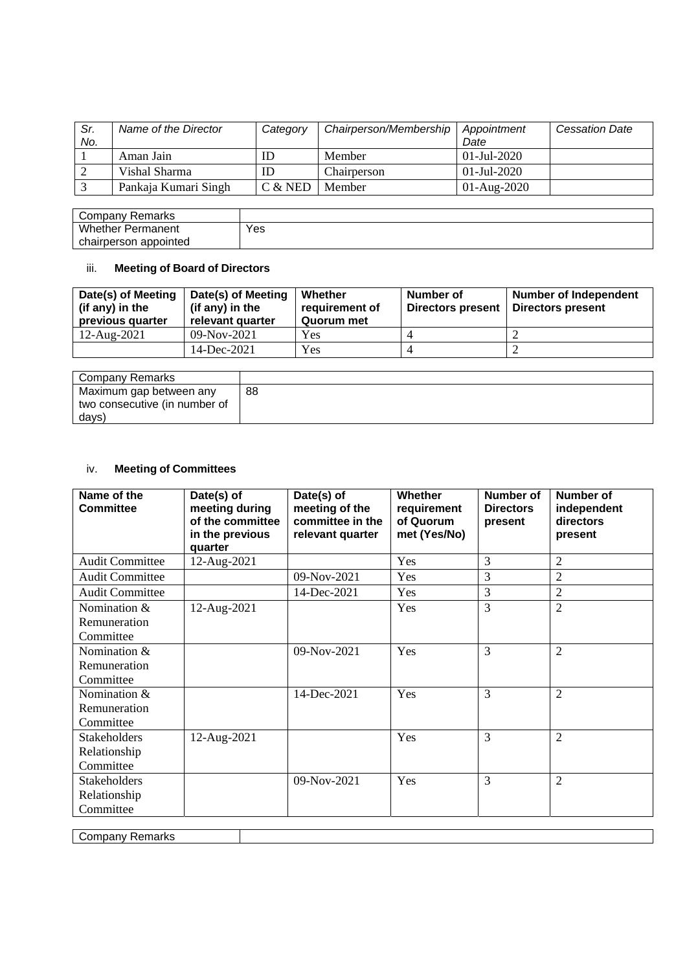| Sr.<br>No. | Name of the Director | Category  | Chairperson/Membership | Appointment<br>Date | <b>Cessation Date</b> |
|------------|----------------------|-----------|------------------------|---------------------|-----------------------|
|            | Aman Jain            | IΕ        | Member                 | 01-Jul-2020         |                       |
|            | Vishal Sharma        | ID        | Chairperson            | 01-Jul-2020         |                       |
|            | Pankaja Kumari Singh | $C &$ NED | Member                 | $01-Aug-2020$       |                       |

| Remarks<br>Company       |     |
|--------------------------|-----|
| <b>Whether Permanent</b> | Yes |
| appointed<br>chairperson |     |

# iii. **Meeting of Board of Directors**

| Date(s) of Meeting<br>(if any) in the<br>previous quarter | Date(s) of Meeting<br>(if any) in the<br>relevant quarter | Whether<br>requirement of<br>Quorum met | Number of<br><b>Directors present</b> | <b>Number of Independent</b><br><b>Directors present</b> |
|-----------------------------------------------------------|-----------------------------------------------------------|-----------------------------------------|---------------------------------------|----------------------------------------------------------|
| 12-Aug-2021                                               | $09-Nov-2021$                                             | Yes                                     |                                       |                                                          |
|                                                           | 14-Dec-2021                                               | Yes                                     |                                       |                                                          |

| Company Remarks               |    |
|-------------------------------|----|
| Maximum gap between any       | 88 |
| two consecutive (in number of |    |
| days)                         |    |

# iv. **Meeting of Committees**

| Name of the<br><b>Committee</b>           | Date(s) of<br>meeting during<br>of the committee<br>in the previous<br>quarter | Date(s) of<br>meeting of the<br>committee in the<br>relevant quarter | Whether<br>requirement<br>of Quorum<br>met (Yes/No) | Number of<br><b>Directors</b><br>present | <b>Number of</b><br>independent<br>directors<br>present |
|-------------------------------------------|--------------------------------------------------------------------------------|----------------------------------------------------------------------|-----------------------------------------------------|------------------------------------------|---------------------------------------------------------|
| <b>Audit Committee</b>                    | 12-Aug-2021                                                                    |                                                                      | Yes                                                 | 3                                        | $\overline{2}$                                          |
| <b>Audit Committee</b>                    |                                                                                | 09-Nov-2021                                                          | Yes                                                 | 3                                        | $\overline{2}$                                          |
| <b>Audit Committee</b>                    |                                                                                | 14-Dec-2021                                                          | Yes                                                 | 3                                        | $\overline{2}$                                          |
| Nomination &<br>Remuneration              | 12-Aug-2021                                                                    |                                                                      | Yes                                                 | 3                                        | $\overline{2}$                                          |
| Committee                                 |                                                                                |                                                                      |                                                     |                                          |                                                         |
| Nomination &<br>Remuneration<br>Committee |                                                                                | 09-Nov-2021                                                          | Yes                                                 | 3                                        | $\overline{2}$                                          |
| Nomination &<br>Remuneration<br>Committee |                                                                                | 14-Dec-2021                                                          | Yes                                                 | 3                                        | $\overline{2}$                                          |
| Stakeholders<br>Relationship<br>Committee | 12-Aug-2021                                                                    |                                                                      | Yes                                                 | 3                                        | $\overline{2}$                                          |
| Stakeholders<br>Relationship<br>Committee |                                                                                | 09-Nov-2021                                                          | Yes                                                 | 3                                        | $\overline{2}$                                          |

Company Remarks